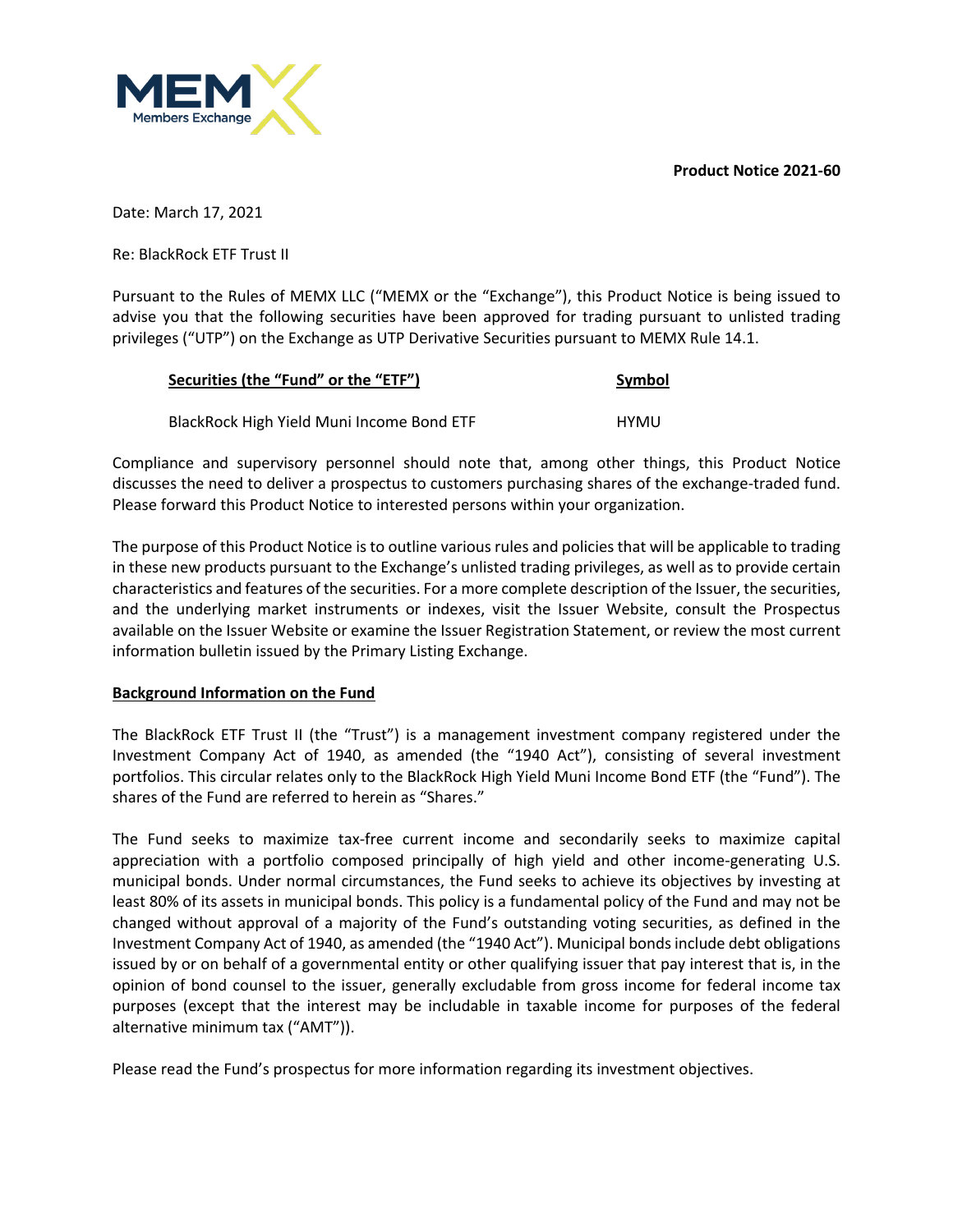**Product Notice 2021-60**



Date: March 17, 2021

Re: BlackRock ETF Trust II

Pursuant to the Rules of MEMX LLC ("MEMX or the "Exchange"), this Product Notice is being issued to advise you that the following securities have been approved for trading pursuant to unlisted trading privileges ("UTP") on the Exchange as UTP Derivative Securities pursuant to MEMX Rule 14.1.

| Securities (the "Fund" or the "ETF")      | Symbol |
|-------------------------------------------|--------|
| BlackRock High Yield Muni Income Bond ETF | HYMU   |

Compliance and supervisory personnel should note that, among other things, this Product Notice discusses the need to deliver a prospectus to customers purchasing shares of the exchange-traded fund. Please forward this Product Notice to interested persons within your organization.

The purpose of this Product Notice is to outline various rules and policies that will be applicable to trading in these new products pursuant to the Exchange's unlisted trading privileges, as well as to provide certain characteristics and features of the securities. For a more complete description of the Issuer, the securities, and the underlying market instruments or indexes, visit the Issuer Website, consult the Prospectus available on the Issuer Website or examine the Issuer Registration Statement, or review the most current information bulletin issued by the Primary Listing Exchange.

## **Background Information on the Fund**

The BlackRock ETF Trust II (the "Trust") is a management investment company registered under the Investment Company Act of 1940, as amended (the "1940 Act"), consisting of several investment portfolios. This circular relates only to the BlackRock High Yield Muni Income Bond ETF (the "Fund"). The shares of the Fund are referred to herein as "Shares."

The Fund seeks to maximize tax-free current income and secondarily seeks to maximize capital appreciation with a portfolio composed principally of high yield and other income-generating U.S. municipal bonds. Under normal circumstances, the Fund seeks to achieve its objectives by investing at least 80% of its assets in municipal bonds. This policy is a fundamental policy of the Fund and may not be changed without approval of a majority of the Fund's outstanding voting securities, as defined in the Investment Company Act of 1940, as amended (the "1940 Act"). Municipal bonds include debt obligations issued by or on behalf of a governmental entity or other qualifying issuer that pay interest that is, in the opinion of bond counsel to the issuer, generally excludable from gross income for federal income tax purposes (except that the interest may be includable in taxable income for purposes of the federal alternative minimum tax ("AMT")).

Please read the Fund's prospectus for more information regarding its investment objectives.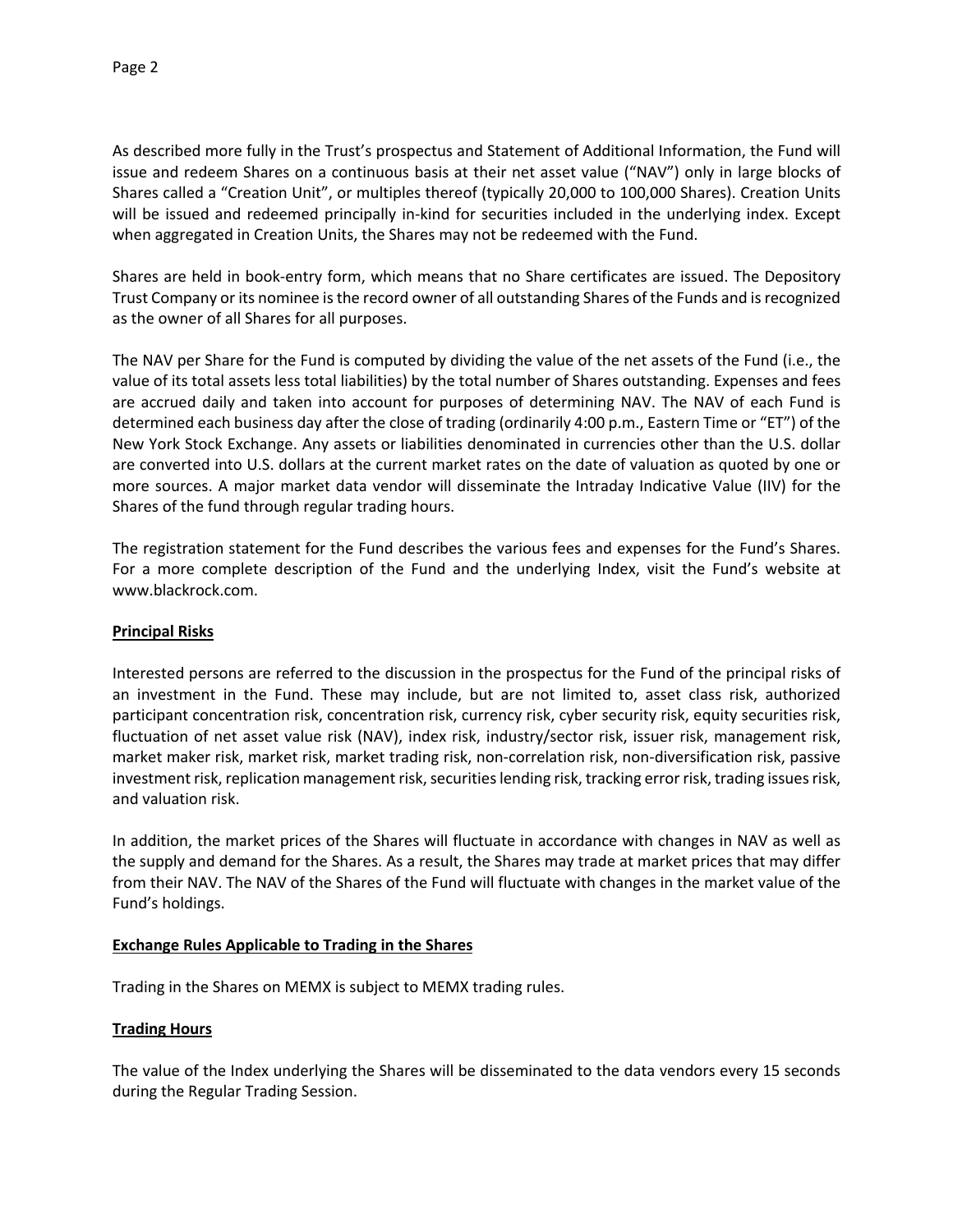As described more fully in the Trust's prospectus and Statement of Additional Information, the Fund will issue and redeem Shares on a continuous basis at their net asset value ("NAV") only in large blocks of Shares called a "Creation Unit", or multiples thereof (typically 20,000 to 100,000 Shares). Creation Units will be issued and redeemed principally in-kind for securities included in the underlying index. Except when aggregated in Creation Units, the Shares may not be redeemed with the Fund.

Shares are held in book-entry form, which means that no Share certificates are issued. The Depository Trust Company or its nominee is the record owner of all outstanding Shares of the Funds and is recognized as the owner of all Shares for all purposes.

The NAV per Share for the Fund is computed by dividing the value of the net assets of the Fund (i.e., the value of its total assets less total liabilities) by the total number of Shares outstanding. Expenses and fees are accrued daily and taken into account for purposes of determining NAV. The NAV of each Fund is determined each business day after the close of trading (ordinarily 4:00 p.m., Eastern Time or "ET") of the New York Stock Exchange. Any assets or liabilities denominated in currencies other than the U.S. dollar are converted into U.S. dollars at the current market rates on the date of valuation as quoted by one or more sources. A major market data vendor will disseminate the Intraday Indicative Value (IIV) for the Shares of the fund through regular trading hours.

The registration statement for the Fund describes the various fees and expenses for the Fund's Shares. For a more complete description of the Fund and the underlying Index, visit the Fund's website at www.blackrock.com.

## **Principal Risks**

Interested persons are referred to the discussion in the prospectus for the Fund of the principal risks of an investment in the Fund. These may include, but are not limited to, asset class risk, authorized participant concentration risk, concentration risk, currency risk, cyber security risk, equity securities risk, fluctuation of net asset value risk (NAV), index risk, industry/sector risk, issuer risk, management risk, market maker risk, market risk, market trading risk, non-correlation risk, non-diversification risk, passive investment risk, replication management risk, securities lending risk, tracking error risk, trading issues risk, and valuation risk.

In addition, the market prices of the Shares will fluctuate in accordance with changes in NAV as well as the supply and demand for the Shares. As a result, the Shares may trade at market prices that may differ from their NAV. The NAV of the Shares of the Fund will fluctuate with changes in the market value of the Fund's holdings.

## **Exchange Rules Applicable to Trading in the Shares**

Trading in the Shares on MEMX is subject to MEMX trading rules.

## **Trading Hours**

The value of the Index underlying the Shares will be disseminated to the data vendors every 15 seconds during the Regular Trading Session.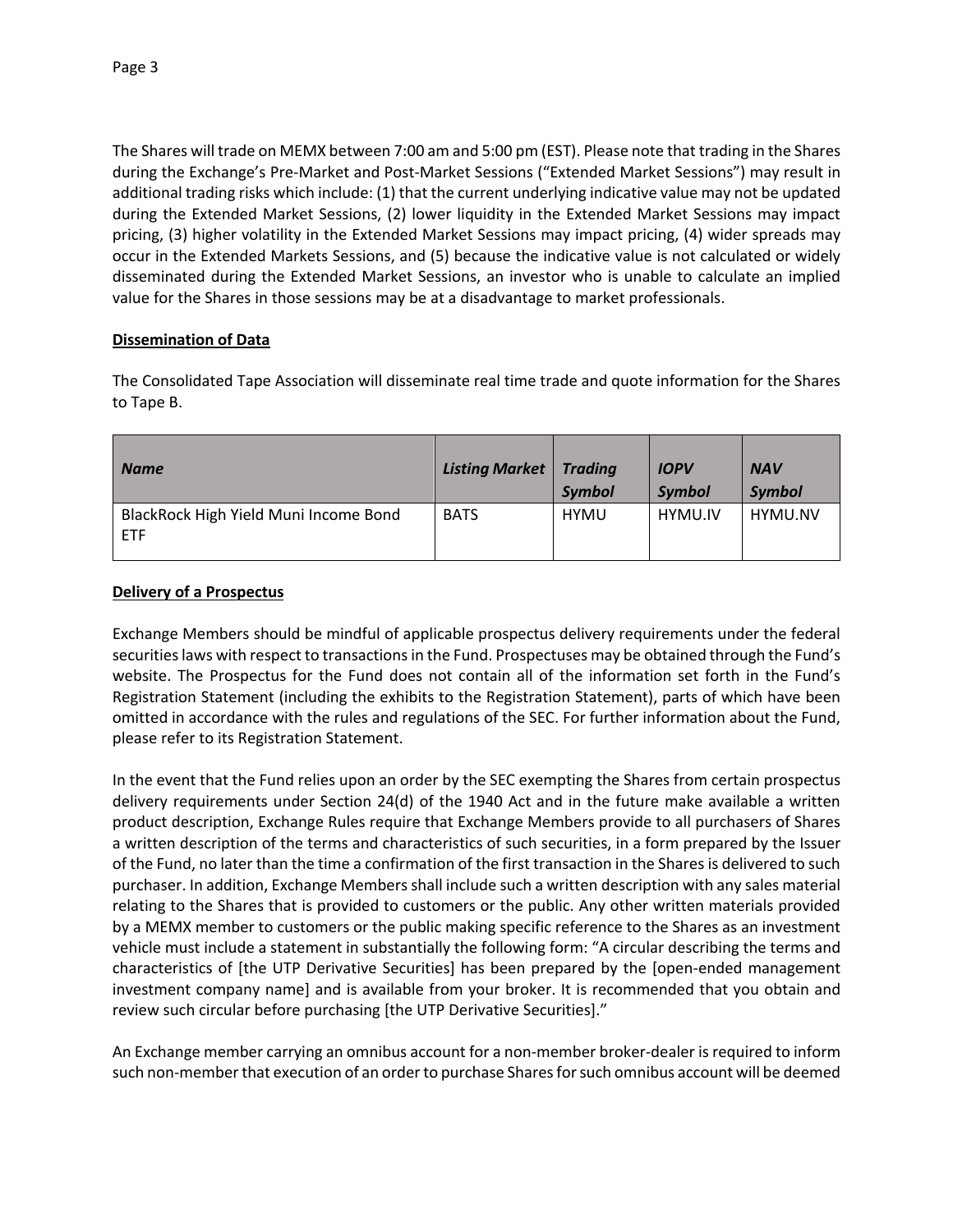The Shares will trade on MEMX between 7:00 am and 5:00 pm (EST). Please note that trading in the Shares during the Exchange's Pre-Market and Post-Market Sessions ("Extended Market Sessions") may result in additional trading risks which include: (1) that the current underlying indicative value may not be updated during the Extended Market Sessions, (2) lower liquidity in the Extended Market Sessions may impact pricing, (3) higher volatility in the Extended Market Sessions may impact pricing, (4) wider spreads may occur in the Extended Markets Sessions, and (5) because the indicative value is not calculated or widely disseminated during the Extended Market Sessions, an investor who is unable to calculate an implied value for the Shares in those sessions may be at a disadvantage to market professionals.

## **Dissemination of Data**

The Consolidated Tape Association will disseminate real time trade and quote information for the Shares to Tape B.

| <b>Name</b>                                         | <b>Listing Market</b> | <b>Trading</b><br><b>Symbol</b> | <b>IOPV</b><br><b>Symbol</b> | <b>NAV</b><br><b>Symbol</b> |
|-----------------------------------------------------|-----------------------|---------------------------------|------------------------------|-----------------------------|
| BlackRock High Yield Muni Income Bond<br><b>ETF</b> | <b>BATS</b>           | <b>HYMU</b>                     | HYMU.IV                      | HYMU.NV                     |

## **Delivery of a Prospectus**

Exchange Members should be mindful of applicable prospectus delivery requirements under the federal securities laws with respect to transactions in the Fund. Prospectuses may be obtained through the Fund's website. The Prospectus for the Fund does not contain all of the information set forth in the Fund's Registration Statement (including the exhibits to the Registration Statement), parts of which have been omitted in accordance with the rules and regulations of the SEC. For further information about the Fund, please refer to its Registration Statement.

In the event that the Fund relies upon an order by the SEC exempting the Shares from certain prospectus delivery requirements under Section 24(d) of the 1940 Act and in the future make available a written product description, Exchange Rules require that Exchange Members provide to all purchasers of Shares a written description of the terms and characteristics of such securities, in a form prepared by the Issuer of the Fund, no later than the time a confirmation of the first transaction in the Shares is delivered to such purchaser. In addition, Exchange Members shall include such a written description with any sales material relating to the Shares that is provided to customers or the public. Any other written materials provided by a MEMX member to customers or the public making specific reference to the Shares as an investment vehicle must include a statement in substantially the following form: "A circular describing the terms and characteristics of [the UTP Derivative Securities] has been prepared by the [open-ended management investment company name] and is available from your broker. It is recommended that you obtain and review such circular before purchasing [the UTP Derivative Securities]."

An Exchange member carrying an omnibus account for a non-member broker-dealer is required to inform such non-member that execution of an order to purchase Shares for such omnibus account will be deemed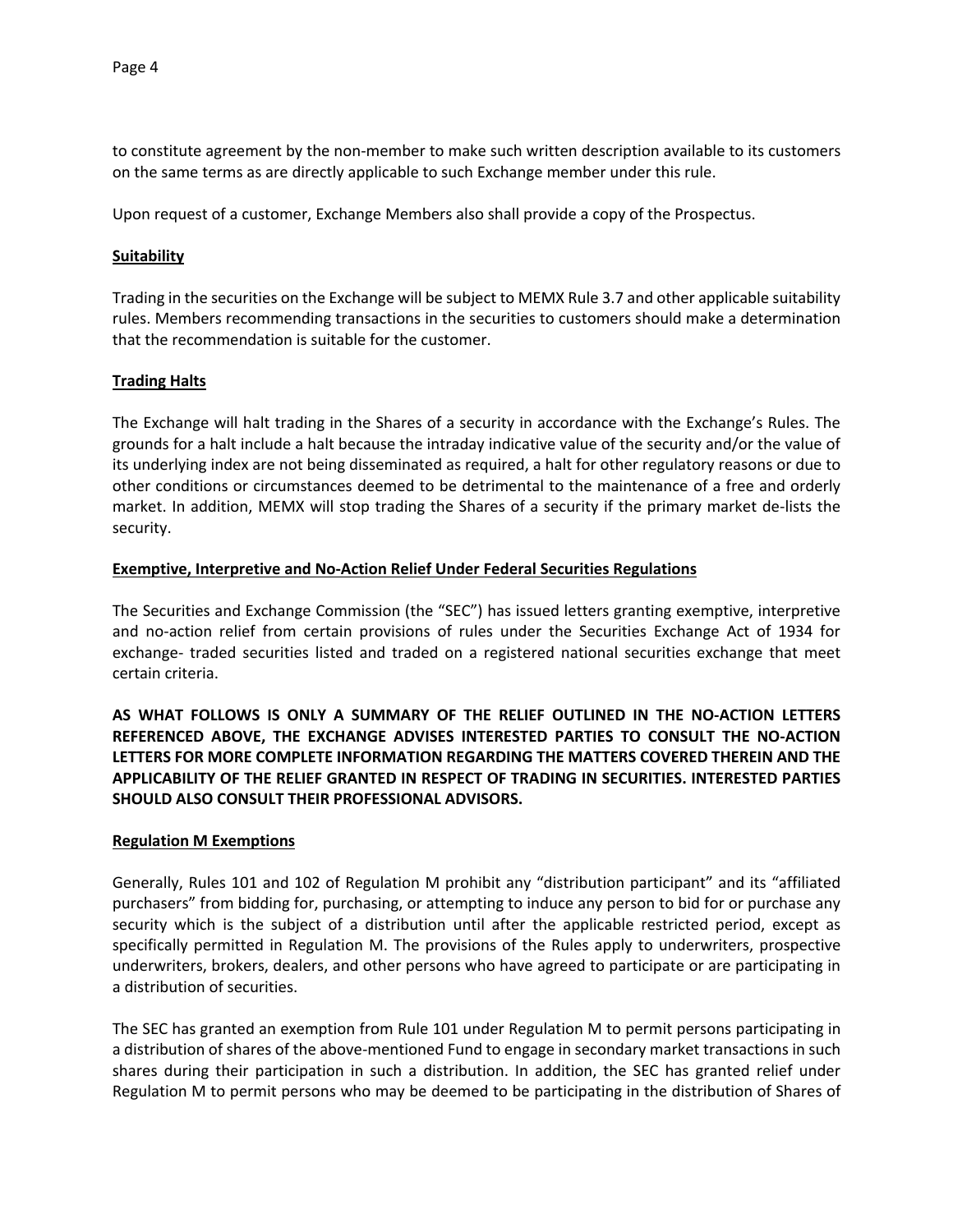to constitute agreement by the non-member to make such written description available to its customers on the same terms as are directly applicable to such Exchange member under this rule.

Upon request of a customer, Exchange Members also shall provide a copy of the Prospectus.

#### **Suitability**

Trading in the securities on the Exchange will be subject to MEMX Rule 3.7 and other applicable suitability rules. Members recommending transactions in the securities to customers should make a determination that the recommendation is suitable for the customer.

#### **Trading Halts**

The Exchange will halt trading in the Shares of a security in accordance with the Exchange's Rules. The grounds for a halt include a halt because the intraday indicative value of the security and/or the value of its underlying index are not being disseminated as required, a halt for other regulatory reasons or due to other conditions or circumstances deemed to be detrimental to the maintenance of a free and orderly market. In addition, MEMX will stop trading the Shares of a security if the primary market de-lists the security.

#### **Exemptive, Interpretive and No-Action Relief Under Federal Securities Regulations**

The Securities and Exchange Commission (the "SEC") has issued letters granting exemptive, interpretive and no-action relief from certain provisions of rules under the Securities Exchange Act of 1934 for exchange- traded securities listed and traded on a registered national securities exchange that meet certain criteria.

**AS WHAT FOLLOWS IS ONLY A SUMMARY OF THE RELIEF OUTLINED IN THE NO-ACTION LETTERS REFERENCED ABOVE, THE EXCHANGE ADVISES INTERESTED PARTIES TO CONSULT THE NO-ACTION LETTERS FOR MORE COMPLETE INFORMATION REGARDING THE MATTERS COVERED THEREIN AND THE APPLICABILITY OF THE RELIEF GRANTED IN RESPECT OF TRADING IN SECURITIES. INTERESTED PARTIES SHOULD ALSO CONSULT THEIR PROFESSIONAL ADVISORS.**

#### **Regulation M Exemptions**

Generally, Rules 101 and 102 of Regulation M prohibit any "distribution participant" and its "affiliated purchasers" from bidding for, purchasing, or attempting to induce any person to bid for or purchase any security which is the subject of a distribution until after the applicable restricted period, except as specifically permitted in Regulation M. The provisions of the Rules apply to underwriters, prospective underwriters, brokers, dealers, and other persons who have agreed to participate or are participating in a distribution of securities.

The SEC has granted an exemption from Rule 101 under Regulation M to permit persons participating in a distribution of shares of the above-mentioned Fund to engage in secondary market transactions in such shares during their participation in such a distribution. In addition, the SEC has granted relief under Regulation M to permit persons who may be deemed to be participating in the distribution of Shares of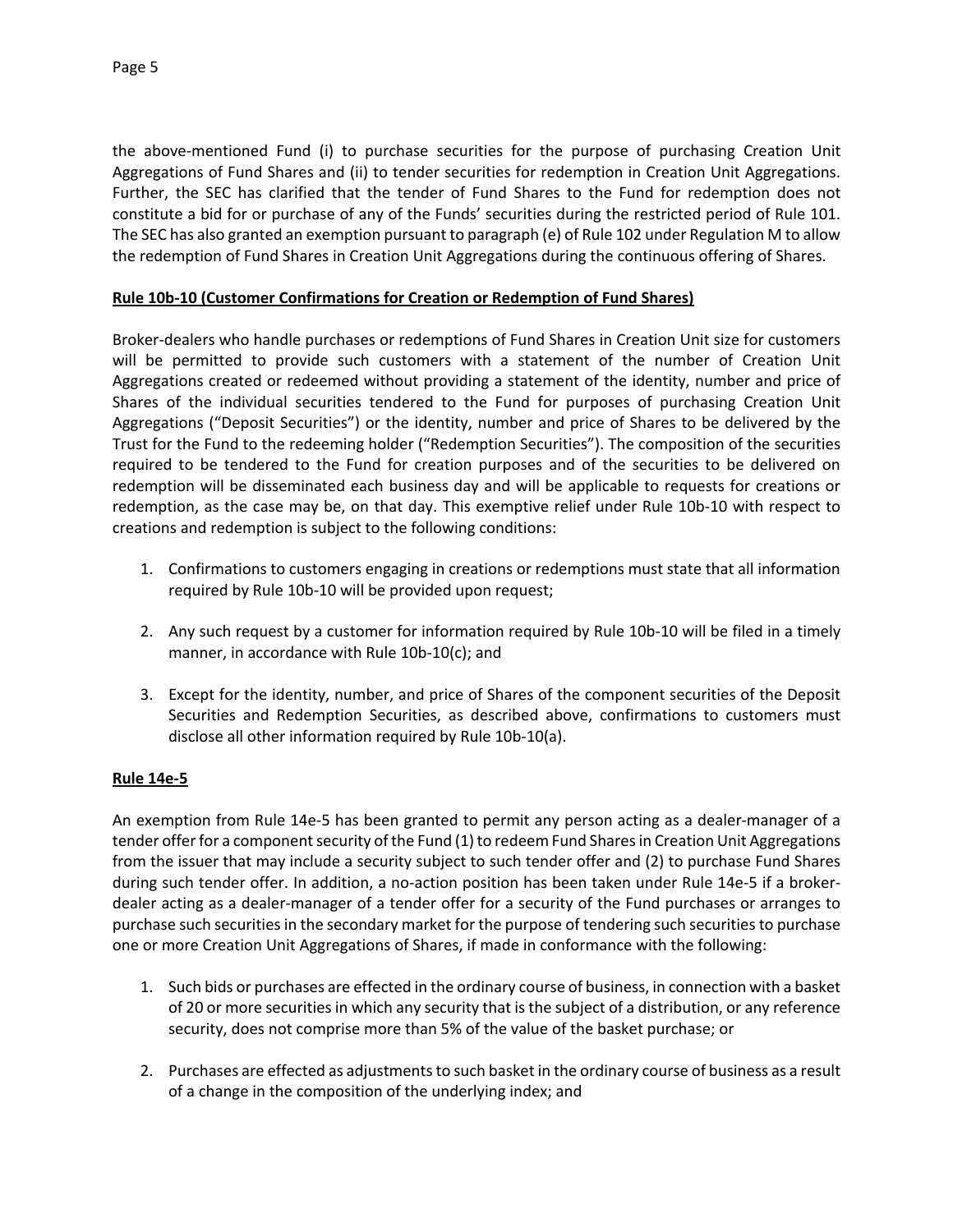the above-mentioned Fund (i) to purchase securities for the purpose of purchasing Creation Unit Aggregations of Fund Shares and (ii) to tender securities for redemption in Creation Unit Aggregations. Further, the SEC has clarified that the tender of Fund Shares to the Fund for redemption does not constitute a bid for or purchase of any of the Funds' securities during the restricted period of Rule 101. The SEC has also granted an exemption pursuant to paragraph (e) of Rule 102 under Regulation M to allow the redemption of Fund Shares in Creation Unit Aggregations during the continuous offering of Shares.

### **Rule 10b-10 (Customer Confirmations for Creation or Redemption of Fund Shares)**

Broker-dealers who handle purchases or redemptions of Fund Shares in Creation Unit size for customers will be permitted to provide such customers with a statement of the number of Creation Unit Aggregations created or redeemed without providing a statement of the identity, number and price of Shares of the individual securities tendered to the Fund for purposes of purchasing Creation Unit Aggregations ("Deposit Securities") or the identity, number and price of Shares to be delivered by the Trust for the Fund to the redeeming holder ("Redemption Securities"). The composition of the securities required to be tendered to the Fund for creation purposes and of the securities to be delivered on redemption will be disseminated each business day and will be applicable to requests for creations or redemption, as the case may be, on that day. This exemptive relief under Rule 10b-10 with respect to creations and redemption is subject to the following conditions:

- 1. Confirmations to customers engaging in creations or redemptions must state that all information required by Rule 10b-10 will be provided upon request;
- 2. Any such request by a customer for information required by Rule 10b-10 will be filed in a timely manner, in accordance with Rule 10b-10(c); and
- 3. Except for the identity, number, and price of Shares of the component securities of the Deposit Securities and Redemption Securities, as described above, confirmations to customers must disclose all other information required by Rule 10b-10(a).

## **Rule 14e-5**

An exemption from Rule 14e-5 has been granted to permit any person acting as a dealer-manager of a tender offer for a component security of the Fund (1) to redeem Fund Shares in Creation Unit Aggregations from the issuer that may include a security subject to such tender offer and (2) to purchase Fund Shares during such tender offer. In addition, a no-action position has been taken under Rule 14e-5 if a brokerdealer acting as a dealer-manager of a tender offer for a security of the Fund purchases or arranges to purchase such securities in the secondary market for the purpose of tendering such securities to purchase one or more Creation Unit Aggregations of Shares, if made in conformance with the following:

- 1. Such bids or purchases are effected in the ordinary course of business, in connection with a basket of 20 or more securities in which any security that is the subject of a distribution, or any reference security, does not comprise more than 5% of the value of the basket purchase; or
- 2. Purchases are effected as adjustments to such basket in the ordinary course of business as a result of a change in the composition of the underlying index; and